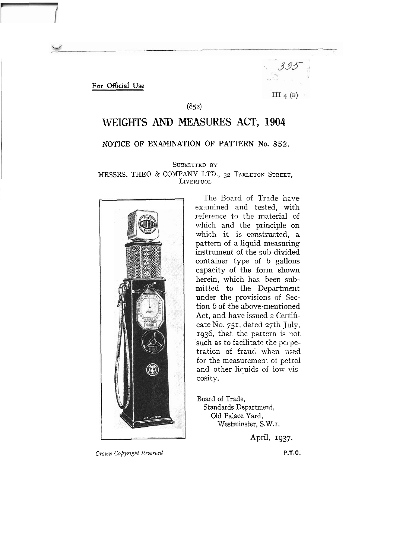For **Otficial Use** 



(852)

# **WEIGHTS AND MEASURES ACT, 1904**

# **NOTICE OF EXAMINATION OF PATTERN No. 852.**

SUBMITTED BY

## MESSRS. THE0 & COMPANY LTD., 32 TARLETON STREET, LIVERPOOL



The Board of Trade have examined and tested, with reference to the material of which and the principle on which it is constructed, a pattern of a liquid measuring instrument of the sub-divided container type of 6 gallons capacity of the form shown herein, which has been submitted to the Department under the provisions of Section 6 of the above-mentioned Act, and have issued a Certificate No. 751, dated 27th July, 1936, that the pattern is not 'such as to facilitate the perpetration of fraud when used for the measurement of petrol and other liquids of low viscosity.

Board of Trade, Standards Department, Old Palace Yard, Westminster, S.W.1.

April, **1937.** 

**Crown** *Copyriglct Resefved* **P.T.O.**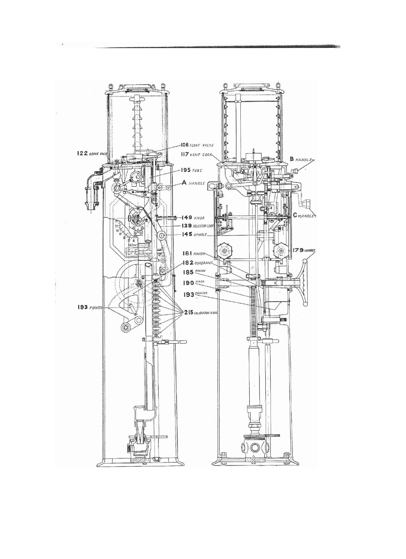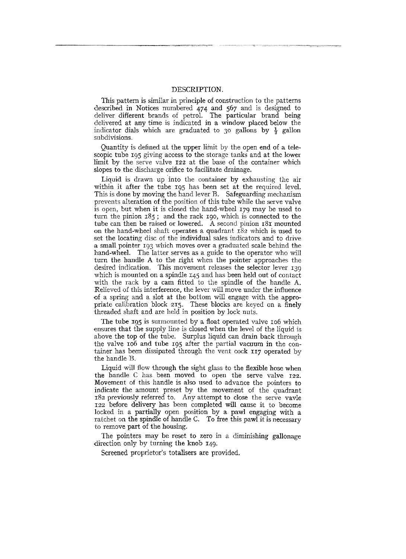#### DESCRIPTION.

This pattern is similar in principle of construction to the patterns described in Notices numbered 474 and 567 and is designed to deliver different brands of petrol. The particular brand being delivered at any time is indicated in a window placed below the indicator dials which are graduated to 30 gallons by  $\frac{1}{2}$  gallon subdivisions.

Quantity is defined at the upper limit by the open end of a telescopic tube 195 giving access to the storage tanks and at the lower limit by the serve valve 122 at the base of the container which slopes to the discharge orifice to facilitate drainage.

Liquid is drawn up 'into the container by exhausting the air within it after the tube 195 has been set at the required level. This is done by moving the hand lever R. Safeguarding mechanism prevents alteration of the position of this tube while the serve valve is open, hut when it is closed the hand-wheel 179 may be used to turn the pinion 185; and the rack 190, which is connected to the tube can then be raised or lowered. A second pinion 181 mounted on the hand-wheel shaft operates a quadrant **182** which is used to set the locating disc of the individual sales indicators and to drive a small pointer 193 which moves over a graduated scale behind the hand-wheel. The latter serves as a guide to the operator who will turn the handle **A** to the right when the pointer approaches the desired indication. This movement releases the selector lever 139 which is mounted on a spindle 145 and has been held out of contact with the rack by a cam fitted to the spindle of the handle A. Relieved of this interference, the lever will move under the influence of a spring and a slot at the bottom will engage with the appropriate calibration block 215. These blocks are keyed on a finely threaded shaft and are held in position by lock nuts.

The tube 195 is surmounted by a float operated valve 106 which ensures that the supply line is closed when the level of the liquid is above the top of the tube. Surplus liquid can drain back through the valve 106 and tube 195 after the partial vacuum in the container has been dissipated through the vent cock 117 operated by the handle B.

Liquid will flow through the sight glass to the flexible hose when the handle C has been moved to open the serve valve 122. Movement of this handle is also used to advance the pointers to indicate the amount preset by the movement of the quadrant 182 previously referred to. Any attempt to close the serve vavle 122 before delivery has been completed will cause it to become locked in a partially open position by a pawl engaging with a ratchet on the spindle of handle C. To free this pawl it is necessary to remove part of the housing.

The pointers may be reset to zero in a diminishing gallonage direction only by turning the knob 149.

Screened proprietor's totalisers are provided.